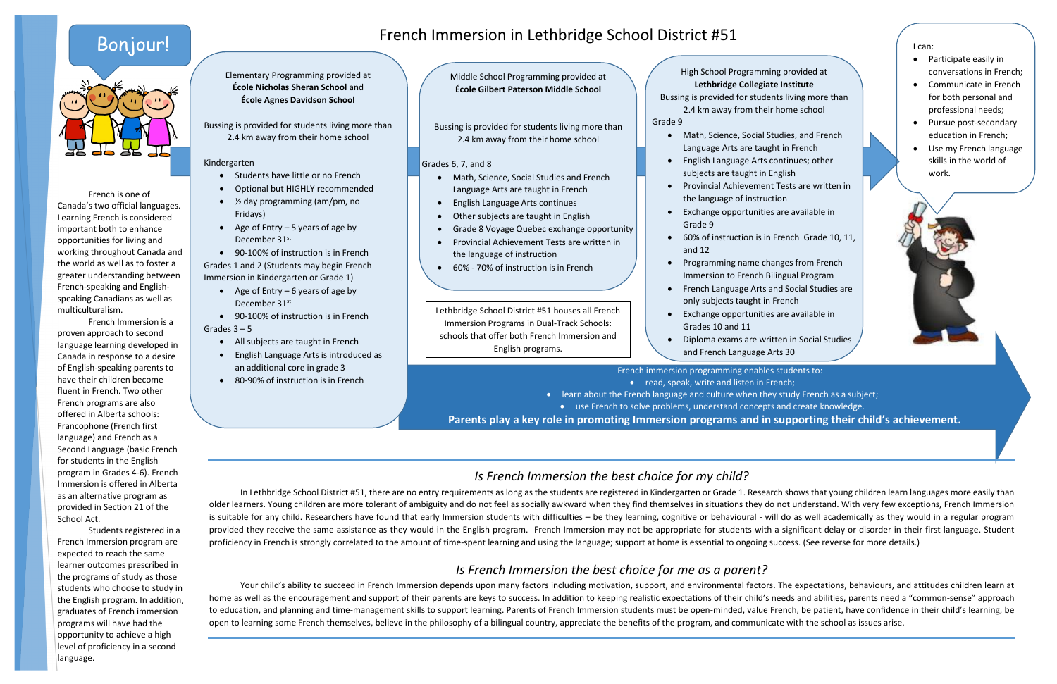## French Immersion in Lethbridge School District #51

Elementary Programming provided at **École Nicholas Sheran School** and **École Agnes Davidson School**

Bussing is provided for students living more than 2.4 km away from their home school

#### Kindergarten

- Students have little or no French
- Optional but HIGHLY recommended
- ½ day programming (am/pm, no Fridays)
- Age of Entry  $-5$  years of age by December 31<sup>st</sup>
- 90-100% of instruction is in French

Grades 1 and 2 (Students may begin French Immersion in Kindergarten or Grade 1)

- Age of Entry  $-6$  years of age by December 31<sup>st</sup>
- 90-100% of instruction is in French

Grades  $3 - 5$ 

- All subjects are taught in French
- English Language Arts is introduced as an additional core in grade 3
- 80-90% of instruction is in French

Middle School Programming provided at **École Gilbert Paterson Middle School**

Bussing is provided for students living more than 2.4 km away from their home school

#### Grades 6, 7, and 8

- 
- 
- 
- 
- 
- Programming name changes from French Immersion to French Bilingual Program
- French Language Arts and Social Studies are only subjects taught in French
- Exchange opportunities are available in Grades 10 and 11
- Diploma exams are written in Social Studies and French Language Arts 30
- Math, Science, Social Studies and French Language Arts are taught in French
- English Language Arts continues
- Other subjects are taught in English
- Grade 8 Voyage Quebec exchange opportunity
- Provincial Achievement Tests are written in the language of instruction
- 60% 70% of instruction is in French

Bussing is provided for students living more than Grade 9

High School Programming provided at **Lethbridge Collegiate Institute** 2.4 km away from their home school Math, Science, Social Studies, and French Language Arts are taught in French English Language Arts continues; other subjects are taught in English Provincial Achievement Tests are written in the language of instruction Exchange opportunities are available in Grade 9 60% of instruction is in French Grade 10, 11, and 12

• Pursue post-secondary education in French;

French immersion programming enables students to: • read, speak, write and listen in French;

French is one of Canada's two official languages. Learning French is considered important both to enhance opportunities for living and working throughout Canada and the world as well as to foster a greater understanding between French-speaking and Englishspeaking Canadians as well as multiculturalism.

French Immersion is a proven approach to second language learning developed in Canada in response to a desire of English-speaking parents to have their children become fluent in French. Two other French programs are also offered in Alberta schools: Francophone (French first language) and French as a Second Language (basic French for students in the English program in Grades 4-6). French Immersion is offered in Alberta as an alternative program as provided in Section 21 of the School Act.

> Your child's ability to succeed in French Immersion depends upon many factors including motivation, support, and environmental factors. The expectations, behaviours, and attitudes children learn at home as well as the encouragement and support of their parents are keys to success. In addition to keeping realistic expectations of their child's needs and abilities, parents need a "common-sense" approach to education, and planning and time-management skills to support learning. Parents of French Immersion students must be open-minded, value French, be patient, have confidence in their child's learning, be open to learning some French themselves, believe in the philosophy of a bilingual country, appreciate the benefits of the program, and communicate with the school as issues arise.

Students registered in a French Immersion program are expected to reach the same learner outcomes prescribed in the programs of study as those students who choose to study in the English program. In addition, graduates of French immersion programs will have had the opportunity to achieve a high level of proficiency in a second language.

I can:

Participate easily in

conversations in French; Communicate in French for both personal and professional needs;

> Use my French language skills in the world of work.

 learn about the French language and culture when they study French as a subject; use French to solve problems, understand concepts and create knowledge. **Parents play a key role in promoting Immersion programs and in supporting their child's achievement.**

Lethbridge School District #51 houses all French Immersion Programs in Dual-Track Schools: schools that offer both French Immersion and English programs.

## *Is French Immersion the best choice for my child?*

In Lethbridge School District #51, there are no entry requirements as long as the students are registered in Kindergarten or Grade 1. Research shows that young children learn languages more easily than older learners. Young children are more tolerant of ambiguity and do not feel as socially awkward when they find themselves in situations they do not understand. With very few exceptions, French Immersion is suitable for any child. Researchers have found that early Immersion students with difficulties – be they learning, cognitive or behavioural - will do as well academically as they would in a regular program provided they receive the same assistance as they would in the English program. French Immersion may not be appropriate for students with a significant delay or disorder in their first language. Student proficiency in French is strongly correlated to the amount of time-spent learning and using the language; support at home is essential to ongoing success. (See reverse for more details.)

### *Is French Immersion the best choice for me as a parent?*

## Bonjour!